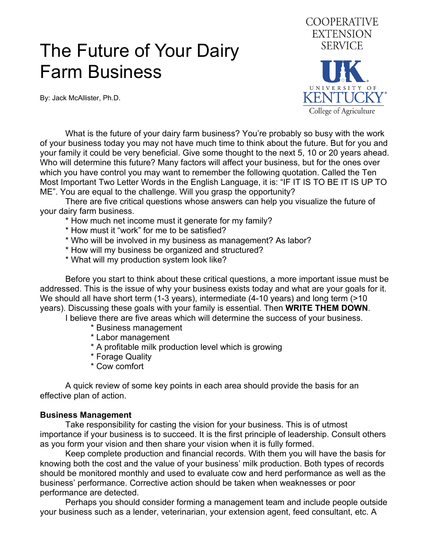# The Future of Your Dairy Farm Business

By: Jack McAllister, Ph.D.



 What is the future of your dairy farm business? You're probably so busy with the work of your business today you may not have much time to think about the future. But for you and your family it could be very beneficial. Give some thought to the next 5, 10 or 20 years ahead. Who will determine this future? Many factors will affect your business, but for the ones over which you have control you may want to remember the following quotation. Called the Ten Most Important Two Letter Words in the English Language, it is: "IF IT IS TO BE IT IS UP TO ME". You are equal to the challenge. Will you grasp the opportunity?

 There are five critical questions whose answers can help you visualize the future of your dairy farm business.

- \* How much net income must it generate for my family?
- \* How must it "work" for me to be satisfied?
- \* Who will be involved in my business as management? As labor?
- \* How will my business be organized and structured?
- \* What will my production system look like?

 Before you start to think about these critical questions, a more important issue must be addressed. This is the issue of why your business exists today and what are your goals for it. We should all have short term (1-3 years), intermediate (4-10 years) and long term (>10 years). Discussing these goals with your family is essential. Then **WRITE THEM DOWN**.

I believe there are five areas which will determine the success of your business.

- \* Business management
- \* Labor management
- \* A profitable milk production level which is growing
- \* Forage Quality
- \* Cow comfort

 A quick review of some key points in each area should provide the basis for an effective plan of action.

#### **Business Management**

 Take responsibility for casting the vision for your business. This is of utmost importance if your business is to succeed. It is the first principle of leadership. Consult others as you form your vision and then share your vision when it is fully formed.

 Keep complete production and financial records. With them you will have the basis for knowing both the cost and the value of your business' milk production. Both types of records should be monitored monthly and used to evaluate cow and herd performance as well as the business' performance. Corrective action should be taken when weaknesses or poor performance are detected.

 Perhaps you should consider forming a management team and include people outside your business such as a lender, veterinarian, your extension agent, feed consultant, etc. A